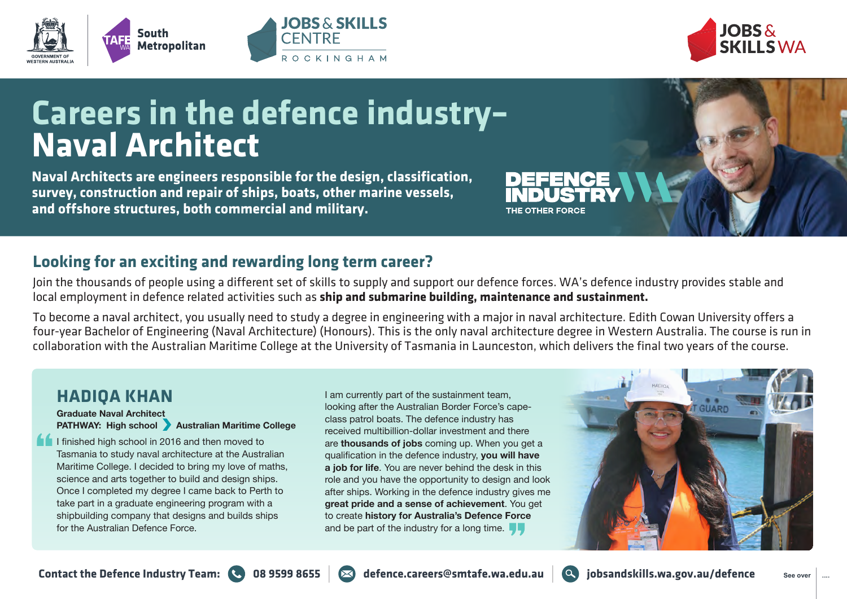



## **Careers in the defence industry– Naval Architect**

**JOBS & SKILLS** 

ROCKINGHAM

**CENTRE** 

**Naval Architects are engineers responsible for the design, classification, survey, construction and repair of ships, boats, other marine vessels, and offshore structures, both commercial and military.**

## **Looking for an exciting and rewarding long term career?**

Join the thousands of people using a different set of skills to supply and support our defence forces. WA's defence industry provides stable and local employment in defence related activities such as **ship and submarine building, maintenance and sustainment.**

To become a naval architect, you usually need to study a degree in engineering with a major in naval architecture. Edith Cowan University offers a four-year Bachelor of Engineering (Naval Architecture) (Honours). This is the only naval architecture degree in Western Australia. The course is run in collaboration with the Australian Maritime College at the University of Tasmania in Launceston, which delivers the final two years of the course.

## **HADIQA KHAN**

**Graduate Naval Architect PATHWAY: High school Australian Maritime College** 

I I finished high school in 2016 and then moved to Tasmania to study naval architecture at the Australian Maritime College. I decided to bring my love of maths, science and arts together to build and design ships. Once I completed my degree I came back to Perth to take part in a graduate engineering program with a shipbuilding company that designs and builds ships for the Australian Defence Force.

I am currently part of the sustainment team, looking after the Australian Border Force's capeclass patrol boats. The defence industry has received multibillion-dollar investment and there are **thousands of jobs** coming up. When you get a qualification in the defence industry, **you will have a job for life**. You are never behind the desk in this role and you have the opportunity to design and look after ships. Working in the defence industry gives me **great pride and a sense of achievement**. You get to create **history for Australia's Defence Force** and be part of the industry for a long time.  $\blacksquare$ 





THE OTHER FORCE